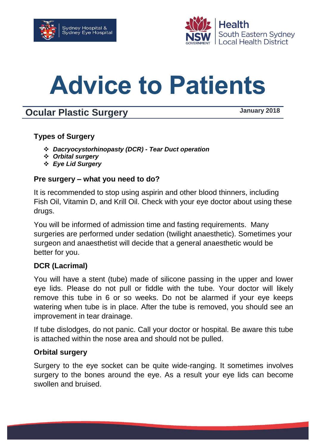



# **Advice to Patients**

# **Ocular Plastic Surgery COMPOSE 12018**

# **Types of Surgery**

- *Dacryocystorhinopasty (DCR) - Tear Duct operation*
- *Orbital surgery*
- *Eye Lid Surgery*

#### **Pre surgery – what you need to do?**

It is recommended to stop using aspirin and other blood thinners, including Fish Oil, Vitamin D, and Krill Oil. Check with your eye doctor about using these drugs.

You will be informed of admission time and fasting requirements. Many surgeries are performed under sedation (twilight anaesthetic). Sometimes your surgeon and anaesthetist will decide that a general anaesthetic would be better for you.

#### **DCR (Lacrimal)**

You will have a stent (tube) made of silicone passing in the upper and lower eye lids. Please do not pull or fiddle with the tube. Your doctor will likely remove this tube in 6 or so weeks. Do not be alarmed if your eye keeps watering when tube is in place. After the tube is removed, you should see an improvement in tear drainage.

If tube dislodges, do not panic. Call your doctor or hospital. Be aware this tube is attached within the nose area and should not be pulled.

#### **Orbital surgery**

Surgery to the eye socket can be quite wide-ranging. It sometimes involves surgery to the bones around the eye. As a result your eye lids can become swollen and bruised.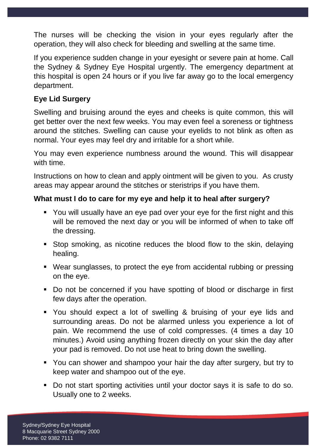The nurses will be checking the vision in your eyes regularly after the operation, they will also check for bleeding and swelling at the same time.

If you experience sudden change in your eyesight or severe pain at home. Call the Sydney & Sydney Eye Hospital urgently. The emergency department at this hospital is open 24 hours or if you live far away go to the local emergency department.

# **Eye Lid Surgery**

Swelling and bruising around the eyes and cheeks is quite common, this will get better over the next few weeks. You may even feel a soreness or tightness around the stitches. Swelling can cause your eyelids to not blink as often as normal. Your eyes may feel dry and irritable for a short while.

You may even experience numbness around the wound. This will disappear with time.

Instructions on how to clean and apply ointment will be given to you. As crusty areas may appear around the stitches or steristrips if you have them.

# **What must I do to care for my eye and help it to heal after surgery?**

- You will usually have an eye pad over your eye for the first night and this will be removed the next day or you will be informed of when to take off the dressing.
- Stop smoking, as nicotine reduces the blood flow to the skin, delaying healing.
- Wear sunglasses, to protect the eye from accidental rubbing or pressing on the eye.
- Do not be concerned if you have spotting of blood or discharge in first few days after the operation.
- You should expect a lot of swelling & bruising of your eye lids and surrounding areas. Do not be alarmed unless you experience a lot of pain. We recommend the use of cold compresses. (4 times a day 10 minutes.) Avoid using anything frozen directly on your skin the day after your pad is removed. Do not use heat to bring down the swelling.
- You can shower and shampoo your hair the day after surgery, but try to keep water and shampoo out of the eye.
- Do not start sporting activities until your doctor says it is safe to do so. Usually one to 2 weeks.